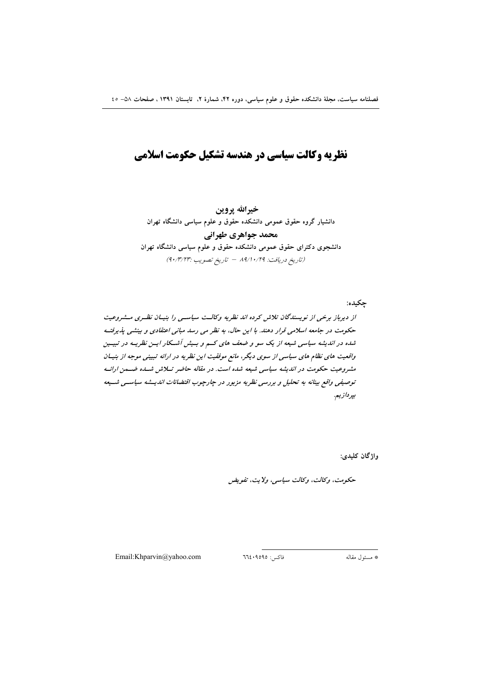# نظرته وكالت سیاسی در هندسه تشكیل حكومت اسلامی

خيرالله يروين دانشیار گروه حقوق عمومی دانشکده حقوق و علوم سیاسی دانشگاه تهران محمد جواهري طهراني دانشجوی دکترای حقوق عمومی دانشکده حقوق و علوم سیاسی دانشگاه تهران (تاريخ دريافت: ١٩/١٠/٢٩ - تاريخ تصويب :٩٠/٣/٢٣)

جکیده: از دیرباز برخی از نویسندگان تلاش کرده اند نظریه وکالـت سیاسـی را بنیـان نظـری مــشروعیت حکومت در جامعه اسلامی قرار دهند. با این حال، به نظر می رسد مبانی اعتقادی و بینشی پذیرفت شده در اندیشه سیاسی شیعه از یک سو و ضعف های کسم و بسیش آشسکار ایسن نظریسه در تبیسین واقعیت های نظام های سیاسی از سوی دیگر، مانع موفقیت این نظریه در ارائه تبیینی موجه از بنیان مشروعیت حکومت در اندیشه سیاسی شیعه شده است. در مقاله حاضر تلاش شسده ضمن ارائه توصیفی واقع بینانه به تحلیل و بررسی نظریه مزبور در چارچوب اقتضائات اندیــشه سیاســی شــیعه بپردازيم.

واژگان کليدي:

حكومت، وكالت، وكالت سياسي، ولايت، تفويض

Email:Khparvin@yahoo.com

فاكس: ٩٥٩٥٩٤٠٦٦٤

\* مسئول مقاله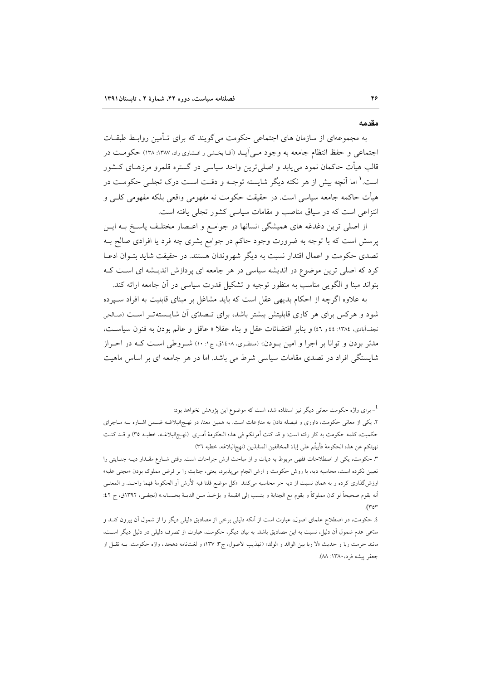#### مقدمه

به مجموعهای از سازمان های اجتماعی حکومت می گویند که برای تـأمین روابـط طبقـات اجتماعی و حفظ انتظام جامعه به وجود مـی[یــد (آقـا بخـشی و افـشاری راد، ۱۳۸۷: ۱۳۸) حکومــت در قالب هیأت حاکمان نمود میbیابد و اصلی ترین واحد سیاسی در گستره قلمرو مرزهـای کــشور است.' اما آنچه بیش از هر نکته دیگر شایسته توجـه و دقـت اسـت درک تجلـبی حکومـت در هیأت حاکمه جامعه سیاسی است. در حقیقت حکومت نه مفهومی واقعی بلکه مفهومی کلــی و انتزاعی است که در سیاق مناصب و مقامات سیاسی کشور تجلی یافته است.

از اصلي ترين دغدغه هاي هميشگي انسانها در جوامـع و اعـصار مختلـف پاسـخ بــه ايــن پرسش است که با توجه به ضرورت وجود حاکم در جوامع بشری چه فرد یا افرادی صالح بـه تصدی حکومت و اعمال اقتدار نسبت به دیگر شهروندان هستند. در حقیقت شاید بتـوان ادعـا کرد که اصلی ترین موضوع در اندیشه سیاسی در هر جامعه ای پردازش اندیـشه ای اسـت کـه بتواند مبنا و الگویی مناسب به منظور توجیه و تشکیل قدرت سیاسی در آن جامعه ارائه کند.

به علاوه اگرچه از احکام بدیهی عقل است که باید مشاغل بر مبنای قابلیت به افراد سبیرده شود و هرکس برای هر کاری قابلیتش بیشتر باشد، برای تـصدّی آن شایـستهتـر اسـت (صـالحی نجف آبادی، ۱۳۸٤: ٤٤ و ٤٦) و بنابر اقتضائات عقل و بناء عقلا « عاقل و عالم بودن به فنون سياست، مدبّر بودن و توانا بر اجرا و امین بـودن» (متظری، ۱٤۰۸ق، ج۱: ۱۰) شـروطی اسـت کـه در احـراز شایستگی افراد در تصدی مقامات سیاسی شرط می باشد. اما در هر جامعه ای بر اساس ماهیت

<sup>۔&</sup>lt;br>1<sub>– بر</sub>ای واژه حکومت معان<sub>م،</sub> دیگر نیز استفاده شده است که موضوع این پژوهش نخواهد بود:

۲. یکی از معانی حکومت، داوری و فیصله دادن به منازعات است. به همین معنا، در نهـج|لبلاغـه ضـمن اشــاره بــه مــاجرای حكميت، كلمه حكومت به كار رفته است: و قد كنت أمرتكم في هذه الحكومة أمـري (نهـج|لبلاغـه، خطبـه ٣٥) و قـد كنـت نهيتكم عن هذه الحكومة فأبيتُم على إباءَ المخالفين المنابذين (نهج لبلاغه، خطبه ٣٦)

٣. حکومت، یکی از اصطلاحات فقهی مربوط به دیات و از مباحث ارش جراحات است. وقتی شـارع مقـدار دیـه جنـایتی را تعیین نکرده است، محاسبه دیه، با روش حکومت و ارش انجام میپذیرد، یعنی، جنایت را بر فرض مملوک بودن «مجنی علیه» ارزشگذاری کرده و به همان نسبت از دیه حر محاسبه میکنند «کل موضع قلنا فیه الأرش أو الحکومهٔ فهما واحـد. و المعنــی أنه يقوم صحيحاً لو كان مملوكاً و يقوم مع الجناية و ينسب إلى القيمة و يؤخـذ مـن الديــة بحـسابه.» (نجفـي، ١٣٩٢ق، ج ٤٢:  $(\tau \circ \tau$ 

٤. حکومت، در اصطلاح علمای اصول، عبارت است از آنکه دلیلی برخی از مصادیق دلیلی دیگر را از شمول آن بیرون کنــد و مدَّعی عدم شمول آن دلیل، نسبت به این مصادیق باشد. به بیان دیگر، حکومت، عبارت از تصرف دلیلی در دلیل دیگر اسـت، مانند حرمت ربا و حديث «لا ربا بين الوالد و الولد» (تهذيب الاصول، ج٣: ١٣٧؛ و لغتنامه دهخدا، واژه حكومت. بــه نقــل از جعفر پیشه فرد، ۱۳۸۰: ۸۸).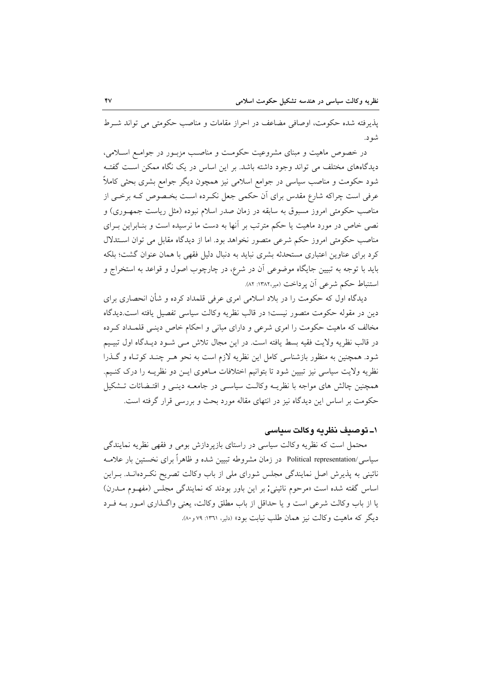يذيرفته شده حكومت، اوصافي مضاعف در احراز مقامات و مناصب حكومتي مي تواند شيرط شو د.

در خصوص ماهیت و مبنای مشروعیت حکومت و مناصب مزبـور در جوامـع اسـلامی، دیدگاههای مختلف می تواند وجود داشته باشد. بر این اساس در یک نگاه ممکن است گفتـه شود حکومت و مناصب سیاسی در جوامع اسلامی نیز همچون دیگر جوامع بشری بحثی کاملاً عرفی است چراکه شارع مقدس برای آن حکمی جعل نکـرده اسـت بخـصوص کـه برخـی از مناصب حکومتی امروز مسبوق به سابقه در زمان صدر اسلام نبوده (مثل ریاست جمهـوری) و نصی خاص در مورد ماهیت یا حکم مترتب بر آنها به دست ما نرسیده است و بنـابراین بـرای مناصب حکومتی امروز حکم شرعی متصور نخواهد بود. اما از دیدگاه مقابل می توان استدلال کرد برای عناوین اعتباری مستحدثه بشری نباید به دنبال دلیل فقهی با همان عنوان گشت؛ بلکه بايد با توجه به تبيين جايگاه موضوعي آن در شرع، در چارچوب اصول و قواعد به استخراج و استنباط حکم شرعی ان پرداخت (میر،۱۳۸۲: ۸۲).

دیدگاه اول که حکومت را در بلاد اسلامی امری عرفی قلمداد کرده و شأن انحصاری برای دین در مقوله حکومت متصور نیست؛ در قالب نظریه وکالت سیاسی تفصیل یافته است.دیدگاه مخالف که ماهیت حکومت را امری شرعی و دارای مبانی و احکام خاص دینبی قلملداد کرده در قالب نظريه ولايت فقيه بسط يافته است. در اين مجال تلاش مـي شـود ديـدگاه اول تبيـيم شود. همچنین به منظور بازشناسی کامل این نظریه لازم است به نحو هـر چنـد کوتـاه و گـذرا نظریه ولایت سیاسی نیز تبیین شود تا بتوانیم اختلافات مـاهوی ایـن دو نظریـه را درک کنـیم. همچنین چالش های مواجه با نظریــه وکالــت سیاســی در جامعــه دینــی و اقتــضائات تــشکیل حکومت بر اساس این دیدگاه نیز در انتهای مقاله مورد بحث و بررسی قرار گرفته است.

#### ۱ــ توصيف نظريه وكالت سياسى

محتمل است که نظریه وکالت سیاسی در راستای بازپردازش بومی و فقهی نظریه نمایندگی سیاسی/Political representation در زمان مشروطه تبیین شده و ظاهراً برای نخستین بار علامـه نائینی به پذیرش اصل نمایندگی مجلس شورای ملی از باب وکالت تصریح نکـردهانـد. بـراین اساس گفته شده است «مرحوم نائینی; بر این باور بودند که نمایندگی مجلس (مفهـوم مــدرن) یا از باب وکالت شرعی است و یا حداقل از باب مطلق وکالت، یعنی واگـذاری امـور بـه فـرد ديگر كه ماهيت وكالت نيز همان طلب نيابت بود» (دلير، ١٣٦١: ٧٩ و٨٠).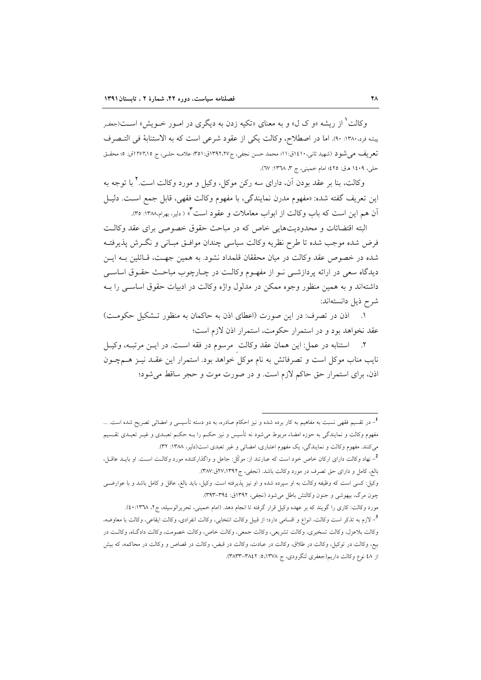وکالت<sup>۱</sup> از ریشه «و ک ل» و به معنای «تکیه زدن به دیگری در امـور خــویش» اســت(جعفـر پیشه فرد.۱۳۸۰: ۹۰). اما در اصطلاح، وكالت يكي از عقود شرعي است كه به الاستنابهٔ في التبصرف تعريف مي شود (شهيد ثاني،١٤١٠ق:١١؛ محمد حسن نجفي، ج٣٩٢،٢٧ق:٥١: علامـه حلـي، ج ٢٧٢،١٥ق: ٥؛ محقـق حلي، ١٤٠٩ هـ ق: ٤٢٥؛ امام خميني، ج ٣، ١٣٦٨: ٦٧).

وکالت، بنا بر عقد بودن آن، دارای سه رکن موکل، وکیل و مورد وکالت است. ٌ با توجه به اين تعريف گفته شده: «مفهوم مدرن نمايندگي، با مفهوم وكالت فقهي، قابل جمع است. دليـل آن هم این است که باب وکالت از ابواب معاملات و عقود است ؓ ( دلیر، بهرام،۱۳۸۸: ۳۵).

البته اقتضائات و محدودیتهایی خاص که در مباحث حقوق خصوصی برای عقد وکالـت فرض شده موجب شده تا طرح نظريه وكالت سياسي چندان موافـق مبـاني و نگــرش پذيرفتــه شده در خصوص عقد وكالت در ميان محققان قلمداد نشود. به همين جهـت، قـائلين بــه ايــن دیدگاه سعی در ارائه پردازشـی نـو از مفهـوم وكالـت در چـارچوب مباحـث حقـوق اساسـی داشتهاند و به همین منظور وجوه ممکن در مدلول واژه وکالت در ادبیات حقوق اساسبی را بـه شرح ذيل دانستهاند:

١. اذن در تصرف: در این صورت (اعطای اذن به حاکمان به منظور تـشکیل حکومـت) عقد نخواهد بود و در استمرار حکومت، استمرار اذن لازم است؛

٢. استنابه در عمل: اين همان عقد وكالت مرسوم در فقه است. در ايـن مرتبـه، وكيـل نایب مناب موکل است و تصرفاتش به نام موکل خواهد بود. استمرار این عقــد نیــز هــمچــون اذن، برای استمرار حق حاکم لازم است. و در صورت موت و حجر ساقط می شود؛

<sup>1&</sup>lt;br><sup>1</sup>– در تقسیم فقهی نسبت به مفاهیم به کار برده شده و نیز احکام صادره، به دو دسته تأسیسی و امضائی تصریح شده است. … مفهوم وکالت و نمایندگی به حوزه امضاء مربوط میشود نه تأسیس و نیز حکـم را بــه حکـم تعبـدی و غیــر تعبـدی تقــسیم میکنند. مفهوم وکالت و نمایندگی، یک مفهوم اعتباری، امضائی و غیر تعبدی است(دلیر، ۱۳۸۸: ۳۲).

<sup>&</sup>lt;sup>2</sup>- نهاد وکالت دارای ارکان خاص خود است که عبارتند از: موکّل: جاعل و واگذارکننده مورد وکالـت اسـت. او بایــد عاقــل، بالغ، کامل و دارای حق تصرف در مورد وکالت باشد. (نجفی، ج۲۷،۱۳۹۲ق:۳۸۷).

وکیل: کسی است که وظیفه وکالت به او سپرده شده و او نیز پذیرفته است. وکیل، باید بالغ، عاقل و کامل باشد و با عوارضـی چون مرگ، بیهوشی و جنون وكالتش باطل می شود (نجفی، ۱۳۹۲ق: ۳۹٤–۳۹۳).

مورد وكالت: كاري را گويند كه بر عهده وكيل قرار گرفته تا انجام دهد. (امام خميني، تحريرالوسيله، ج٢، ١٣٦٨:٤٠). <sup>3</sup>–لازم به تذکر است وکالت، انواع و اقسامی دارد؛ از قبیل وکالت انتخابی، وکالت انفرادی، وکالت ایقاعی، وکالت با معاوضه، وكالت بلاعزل، وكالت تسخيري، وكالت تشريعي، وكالت جمعي، وكالت خاص، وكالت خصومت، وكالت دادگاه، وكالت در بیع، وکالت در توکیل، وکالت در طلاق، وکالت در عبادت، وکالت در قبض، وکالت در قصاص و وکالت در محاکمه، که بیش از ٤٨ نوع وكالت داريم(جعفري لنگرودي، ج ١٣٧٨،٥: ٣٨٢٢-٣٨٣٣).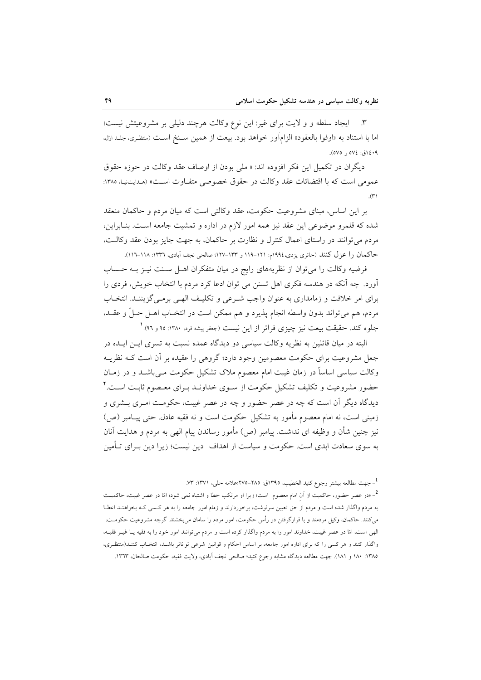٣. ايجاد سلطه و و لايت براي غير: اين نوع وكالت هرچند دليلي بر مشروعيتش نيست؛ اما با استناد به «اوفوا بالعقود» الزامآور خواهد بود. بيعت از همين سـنخ اسـت (متظرى، جلـداول، ۰۹؛۱٤ز ، ،۷۵ و ٥٧٥).

ديگران در تكميل اين فكر افزوده اند: « ملي بودن از اوصاف عقد وكالت در حوزه حقوق عمومي است كه با اقتضائات عقد وكالت در حقوق خصوصي متفـاوت اسـت» (مـدايتنيـا، ١٣٨٥:  $(\tau')$ 

بر این اساس، مبنای مشروعیت حکومت، عقد وکالتی است که میان مردم و حاکمان منعقد شده که قلمرو موضوعی این عقد نیز همه امور لازم در اداره و تمشیت جامعه اسـت. بنـابراین، مردم می توانند در راستای اعمال کنترل و نظارت بر حاکمان، به جهت جایز بودن عقد وکالت، حاكمان را عزل كنند (حائري يزدي،١٩٩٤م: ١٢١–١١٩ و ١٣٣-١٢٧؛ صالحي نجف آبادي، ١٣٣٦: ١١٨–١١٦).

فرضيه وكالت را مي توان از نظريههاي رايج در ميان متفكران اهـل سـنت نيـز بــه حـساب آورد. چه آنکه در هندسه فکری اهل تسنن می توان ادعا کرد مردم با انتخاب خویش، فردی را برای امر خلافت و زمامداری به عنوان واجب شـرعی و تکلیـف الهـی برمـی گزیننـد. انتخـاب مردم، هم ميتواند بدون واسطه انجام پذيرد و هم ممكن است در انتخـاب اهــل حــلٌ و عقــد، جلوه کند. حقیقت بیعت نیز چیزی فراتر از این نیست (جعفر پیشه فرد، ۱۳۸۰: ۹۵ و ۹۲). ٔ

البته در میان قائلین به نظریه وکالت سیاسی دو دیدگاه عمده نسبت به تسری ایـن ایـده در جعل مشروعیت برای حکومت معصومین وجود دارد؛ گروهی را عقیده بر آن است کــه نظریــه وكالت سياسي اساساً در زمان غيبت امام معصوم ملاک تشکيل حکومت مـي،باشــد و در زمــان حضور مشروعیت و تکلیف تشکیل حکومت از سـوی خداونــد بــرای معــصوم ثابــت اســت.٢ دیدگاه دیگر آن است که چه در عصر حضور و چه در عصر غیبت، حکومت امـری بــشری و زمینی است، نه امام معصوم مأمور به تشکیل حکومت است و نه فقیه عادل حتی پیـامبر (ص) نیز چنین شأن و وظیفه ای نداشت. پیامبر (ص) مأمور رساندن پیام الهی به مردم و هدایت آنان به سوی سعادت ابدی است. حکومت و سیاست از اهداف ِ دین نیست؛ زیرا دین بـرای تــأمین

<sup>&</sup>lt;sup>1</sup> جهت مطالعه بيشتر رجوع كنيد الخطيب، ١٣٩٥ق: ٢٨٥-٢٧٥؛علامه حلي، ١٣٧١: ٧٣.

<sup>&</sup>lt;sup>2</sup>\_«در عصر حضور، حاکمیت از آن امام معصوم است؛ زیرا او مرتکب خطا و اشتباه نمی شود؛ امّا در عصر غیبت، حاکمیــت به مردم واگذار شده است و مردم از حق تعیین سرنوشت، برخوردارند و زمام امور جامعه را به هر کسبی کـه بخواهنـد اعطـا میکنند. حاکمان، وکیل مردمند و با قرارگرفتن در رأس حکومت، امور مردم را سامان میبخشند. گرچه مشروعیت حکومت، الهي است، امّا در عصر غيبت، خداوند امور را به مردم واگذار كرده است و مردم مي توانند امور خود را به فقيه يـا غيــر فقيــه، واگذار کنند و هر کسی را که برای اداره امور جامعه، بر اساس احکام و قوانین شرعی تواناتر باشـد، انتخـاب کننـد(منتظـری، ١٣٨٥: ١٨٠ و ١٨١). جهت مطالعه ديدگاه مشابه رجوع كنيد؛ صالحي نجف آبادي، ولايت فقيه، حكومت صالحان، ١٣٦٣.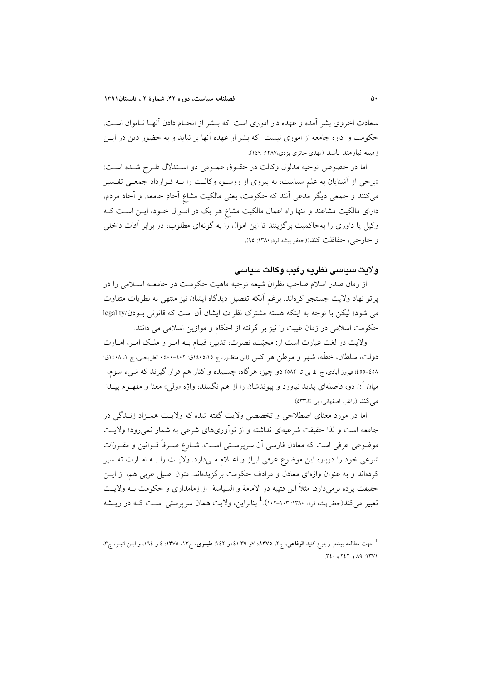سعادت اخروی بشر آمده و عهده دار اموری است که بــشر از انجــام دادن آنهــا نــاتوان اســت. حکومت و اداره جامعه از اموری نیست که بشر از عهده آنها بر نیاید و به حضور دین در ایــن ز مىنه نياز مند باشد (مهدى حائرى يزدى،١٣٨٧: ١٤٩).

اما در خصوص توجيه مدلول وكالت در حقـوق عمـومي دو اسـتدلال طـرح شـده اسـت: «برخی از آشنایان به علم سیاست، به پیروی از روسو، وکالـت را بــه قـرارداد جمعـی تفـسیر میکنند و جمعی دیگر مدعی آنند که حکومت، یعنی مالکیت مشاع آحادِ جامعه. و آحاد مردم، دارای مالکیت مشاعند و تنها راه اعمال مالکیت مشاع هر یک در امـوال خــود، ایــن اســت کــه وکیل یا داوری را بهحاکمیت برگزینند تا این اموال را به گونهای مطلوب، در برابر آفات داخلی و خارجي، حفاظت كند»(جعفر پيشه فرد، ١٣٨٠: ٩٥).

### و لايت سياسي نظريه رقب و كالت سياسي

از زمان صدر اسلام صاحب نظران شیعه توجیه ماهیت حکومت در جامعـه اسـلامی را در يرتو نهاد ولايت جستجو كرهاند. برغم أنكه تفصيل ديدگاه ايشان نيز منتهى به نظريات متفاوت می شود؛ لیکن با توجه به اینکه هسته مشترک نظرات ایشان آن است که قانونی بودن/legality حکومت اسلامی در زمان غیبت را نیز بر گرفته از احکام و موازین اسلامی می دانند.

ولایت در لغت عبارت است از: محبّت، نصرت، تدبیر، قیـام بـه امـر و ملـک امـر، امـارت دولت، سلطان، خطُّه، شهر و موطن هر كس (ابن منظـور، ج ١٤٠٥،١٥ق: ٤٠٢-٤٠٠؛ الطريحـى، ج ١٤٠٨،٥١ق: ٥٨٤-٤٥٥؛ فيروز آبادي، ج ٤، بي تا: ٥٨٢) دو چيز، هرگاه، چسبيده و كنار هم قرار گيرند كه شيء سوم، میان آن دو، فاصلهای پدید نیاورد و پیوندشان را از هم نگسلد، واژه «ولی» معنا و مفهـوم پیـدا می کند (راغب اصفهانی، بی تا،٥٣٣).

اما در مورد معنای اصطلاحی و تخصصی ولایت گفته شده که ولایت همـزاد زنــدگی در جامعه است و لذا حقیقت شرعیهای نداشته و از نوآوریهای شرعی به شمار نمی رود؛ ولایت موضوعی عرفی است که معادل فارسی آن سرپرسـتی اسـت. شـارع صـرفاً قــوانین و مقــررات شرعي خود را درباره اين موضوع عرفي ابراز و اعبلام مـي دارد. ولايـت را بــه امبارت تفـسير کردهاند و به عنوان واژهای معادل و مرادف حکومت برگزیدهاند. متون اصیل عربی هم، از ایــن حقیقت پرده برمیدارد. مثلاً ابن قتیبه در الامامهٔ و السیاسهٔ از زمامداری و حکومت بـه ولایـت تعبیر می کند(جعفر پیشه فرد، ۱۳۸۰: ۱۰۳–۱۰۲). <sup>1</sup> بنابر این، ولایت همان سرپرستی اسـت کــه در ریــشه

<sup>۔&</sup>lt;br><sup>1</sup> جهت مطالعه بیشتر رجوع کنید **الرفاعی،** ج۲، ۱۳۷۵،: ۷و ۱٤۱،۳۹و ۱٤۲؛ ط**بـری،** ج۱۳، ۱۳۷۵: ٤ و ۱٦، و ابــن اثبــر، ج۳، ١٣٧١: ٨٩ و ٢٤٢ و ٣٤٠.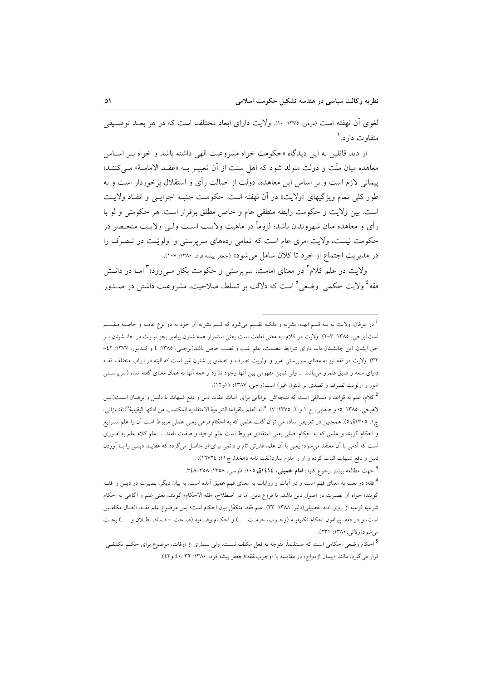لغوی آن نهفته است (مومن ١٣٧٥: ١٠). ولايت داراي ابعاد مختلف است كه در هر بعــد توصـيفي متفاوت دارد. '

از دید قائلین به این دیدگاه «حکومت خواه مشروعیت الهی داشته باشد و خواه بـر اسـاس معاهده میان ملّت و دولت متولد شود که اهل سنت از آن تعبیـر بــه «عقــد الامامــهْ» مــی کننــد؛ پیمانی لازم است و بر اساس این معاهده، دولت از اصالت رأی و استقلال برخوردار است و به طور کلي تمام ويژگيهاي «ولايت» در آن نهفته است. حکومت جنبـه اجرايـي و انفـاذ ولايـت است. بين ولايت و حكومت رابطه منطقى عام و خاص مطلق برقرار است. هر حكومتى و لو با رأى و معاهده ميان شهروندان باشد؛ لزوماً در ماهيت ولايت است ولي ولايت منحـصر در حکومت نیست، ولایت امری عام است که تمامی ردههای سرپرستی و اولویّـت در تـصرّف را در مديريت اجتماع از خرد تا كلان شامل مى شود» (جعفر پيشه فرد، ١٣٨٠: ١٠٧).

ولایت در علم کلام ٌ در معنای امامت، سریرستی و حکومت بکار مے رود؛ ؓ امــا در دانــش فقه ٔ ولایت حکمی وضعی ° است که دلالت بر تسلط، صلاحیت، مشروعیت داشتن در صــدور

<sup>3</sup> جهت مطالعه بیشتر رجوع کنید: ا**مام خمینی، ١٤١٤ق:١٠٥؛** طوسی، ١٣٥٨: ٣٤٨-٣٤٨.

در عرفان، ولايت به سه قسم الهيه، بشريه و ملكيه تقسيم مي شود كه قسم بشريه أن خود به دو نوع عامـه و خاصـه منقــسم است(برجی، ١٣٨٥: ٣-٢). ولایت در کلام، به معنی امامت است یعنی استمرار همه شئون پیامبر بجز نبـوت در جانــشینان بـر حق ایشان. این جانشینان باید دارای شرایط عصمت، علم غیب و نصب خاص باشد(برجمی، ۱۳۸۵: ٤ و کـدیور، ۱۳۷۷: ٤٢-۳۲). ولایت در فقه نیز به معنای سرپرستی امور و اولویت تصرف و تصدی بر شئون غیر است که البته در ابواب مختلف فقــه دارای سعه و ضیق قلمرو میباشد … ولی تباین مفهومی بین آنها وجود ندارد و همه آنها به همان معنای گفته شده (سرپرسـتی امور و اولویت تصرف و تصدی بر شئون غیر) است(راجی، ۱۳۸۷: ۱۱و۱۲).

<sup>&</sup>lt;sup>2</sup>کلام، علم به قواعد و مسائلی است که نتیجهاش توانایی برای اثبات عقاید دین و دفع شبهات با دلیـل و برهــان اســت(ابــن لاهيجي، ١٣٨٥: ٥؛ و صفايي، ج ١ و ٢، ١٣٧٥: ٧). "انه العلم بالقواعدالشرعية الاعتقاديه المكتسب من ادلتها اليقينية "(تفتـازاني، ج۱، ۱۳۰۵ق:۵). همچنین در تعریفی ساده می توان گفت علمی که به احکام فرعی یعنی عملی مربوط است آن را علم شـرایع و احکام گویند و علمی که به احکام اصلی یعنی اعتقادی مربوط است علم توحید و صفات نامند….علم کلام علم به امـوری است که آدمی با آن معتقد می شود؛ یعنی با آن علم، قدرتی تام و دائمی برای او حاصل می گردد که عقایـد دینـی را بـا آوردن دلیل و دفع شبهات اثبات کرده و او را ملزم سازد(لغت نامه دهخدا، ج ١١: ١٦٧٢٤).

<sup>&</sup>lt;sup>4</sup> فقه: در لغت به معنای فهم است و در اَیات و روایات به معنای فهم عمیق اَمده است. به بیان دیگر، بصیرت در دیــن را فقــه گويند؛ خواه اّن بصيرت در اصول دين باشد، يا فروع دين<sub>.</sub> اما در اصطلاح، «فقه الاحكام» گويند، يعنى علم و اّگاهى به احكام شرعيه فرعيه از روى ادله تفصيلي(دلير، ١٣٨٨: ٣٣). علم فقه، متكفَّل بيان احكام است؛ پس موضوع علم فقــه، افعــال مكلفــين است، و در فقه، پیرامون احکام تکلیفیـه (وجـوب، حرمـت. . . ) و احکــام وضـعیه (صـحت – فــساد، بطــلان و. . . ) بحـث مي شود(ولائي، ١٣٨٠: ٢٣١).

<sup>&</sup>lt;sup>5</sup>احکام وضعی احکامی است که مستقیماً، متوجّه به فعل مکلّف نیست، ول<sub>ی</sub> بسیاری از اوقات، موضوع برای حکــم تکلیفــی قرار مي گيرد، مانند «پيمان ازدواج» در مقايسه با «وجوبنفقه»(جعفر پيشه فرد، ١٣٨٠: ٢٩، ٤٠ و٤٢).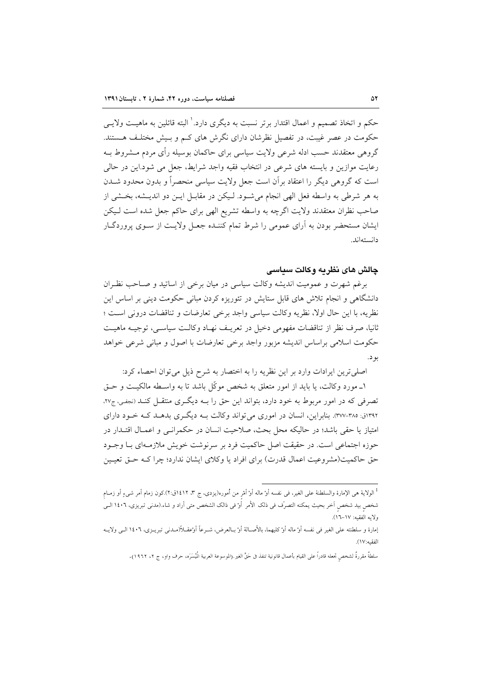حکم و اتخاذ تصمیم و اعمال اقتدار بر تر نسبت به دیگری دارد. ٰ البته قائلین به ماهیــت ولایــی حکومت در عصر غیبت، در تفصیل نظرشان دارای نگرش های کـم و بـیش مختلـف هـستند. گروهی معتقدند حسب ادله شرعی ولایت سیاسی برای حاکمان بوسیله رأی مردم مــشروط بــه رعایت موازین و بایسته های شرعی در انتخاب فقیه واجد شرایط، جعل می شود.این در حالی است که گروهی دیگر را اعتقاد بر آن است جعل ولایت سیاسی منحصراً و بدون محدود شــدن به هر شرطي به واسطه فعل الهي انجام مي شـود. لـيكن در مقابـل ايـن دو انديـشه، بخـشي از صاحب نظران معتقدند ولايت اگرچه به واسطه تشريع الهي براي حاكم جعل شده است لـيكن ایشان مستحضر بودن به آرای عمومی را شرط تمام کننـده جعـل ولایـت از سـوی پروردگـار دانستەاند.

### چالش های نظریه وکالت سیاسی

برغم شهرت و عمومیت اندیشه وکالت سیاسی در میان برخی از اساتید و صـاحب نظـران دانشگاهی و انجام تلاش های قابل ستایش در تئوریزه کردن مبانی حکومت دینی بر اساس این نظريه، با اين حال اولا، نظريه وكالت سياسي واجد برخي تعارضات و تناقضات دروني است ؛ ثانيا، صرف نظر از تناقضات مفهومي دخيل در تعريـف نهـاد وكالـت سياسـي، توجيـه ماهيـت حکومت اسلامی براساس اندیشه مزبور واجد برخی تعارضات با اصول و مبانی شرعی خواهد بو د.

اصلی ترین ایرادات وارد بر این نظریه را به اختصار به شرح ذیل می توان احصاء کرد:

۱ــ مورد وكالت، يا بايد از امور متعلق به شخص موكّل باشد تا به واسـطه مالكيـت و حـق تصرفی که در امور مربوط به خود دارد، بتواند این حق را بـه دیگـری منتقـل کنـد (نجفـی، ج۲۷. ۱۳۹۲ق: ۳۷۵-۳۷۷). بنابراین، انسان در اموری می تواند وکالت بـه دیگـری بدهـد کـه خـود دارای امتياز يا حقى باشد؛ در حاليكه محل بحث، صلاحيت انسان در حكمرانـي و اعمـال اقتـدار در حوزه اجتماعی است. در حقیقت اصل حاکمیت فرد بر سرنوشت خویش ملازمـهای بـا وجـود حق حاکمیت(مشروعیت اعمال قدرت) برای افراد یا وکلای ایشان ندارد؛ چرا کـه حــق تعیــین

<sup>&</sup>lt;sup>1</sup> الولاية هي الإمارة والسلطنة على الغير، في نفسه أو ماله أو أمْر من أموره(يزدى، ج ٣، ١٤١٢ق:٢).كون زمام أمر شيءٍ أو زمــام شخص بيد شخص آخر بحيث يمكنه التصرّف في ذلك الأمر أوْ في ذالك الشخص متى أراد و شاء (مدنى تبريزى، ١٤٠٦ الـي ولايه الفقيه: ١٧-١٦).

إمارة و سلطنته على الغير في نفسه أوْ ماله أوْ كليهما، بالأصالة أوْ بـالعرض، شـرعاً أوْعقــلأ(مـدنى تبريــزى، ١٤٠٦ الــي ولايــه الفقيه:١٧).

سلطةٌ مقررةٌ لشخص تجعله قادراً على القيام بأعمال قانونية تنفذ فى حَقٍّ الغير.(الموسوعة العربية المُيسَرَه، حرف واو، ج ٢، ١٩٦٢).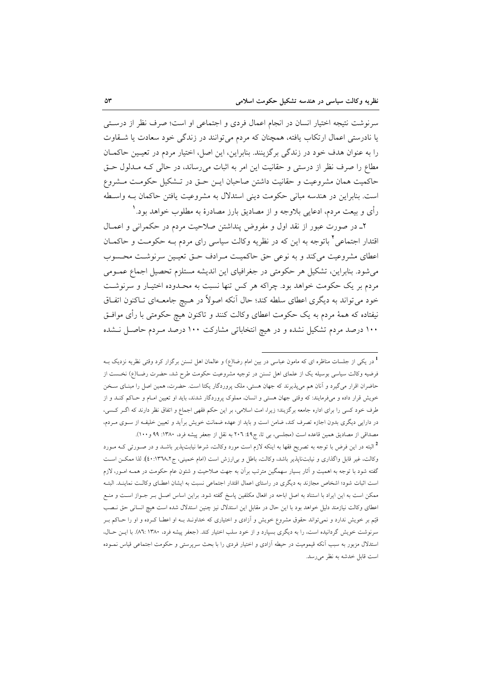سرنوشت نتیجه اختیار انسان در انجام اعمال فردی و اجتماعی او است؛ صرف نظر از درستی یا نادرستی اعمال ارتکاب یافته، همچنان که مردم می توانند در زندگی خود سعادت یا شــقاوت را به عنوان هدف خود در زندگی برگزینند. بنابراین، این اصل، اختیار مردم در تعیین حاکمان مطاع را صرف نظر از درستی و حقانیت این امر به اثبات میرساند، در حالی کـه مـدلول حـق حاكميت همان مشروعيت و حقانيت داشتن صاحبان ايـن حـق در تـشكيل حكومـت مـشروع است. بنابراین در هندسه مبانی حکومت دینی استدلال به مشروعیت یافتن حاکمان بـه واسطه رأى و بيعت مردم، ادعايي بلاوجه و از مصاديق بارز مصادرهٔ به مطلوب خواهد بود.'

٢ـ در صورت عبور از نقد اول و مفروض پنداشتن صلاحیت مردم در حکمرانی و اعمــال اقتدار اجتماعی آ باتوجه به این که در نظریه وکالت سیاسی رای مردم بــه حکومــت و حاکمــان اعطای مشروعیت می کند و به نوعی حق حاکمیت مـرادف حـق تعیـین سرنوشـت محـسوب می شود. بنابراین، تشکیل هر حکومتی در جغرافیای این اندیشه مستلزم تحصیل اجماع عمـومی مردم بر یک حکومت خواهد بود. چراکه هر کس تنها نسبت به محـدوده اختیـار و سرنوشـت خود می تواند به دیگری اعطای سلطه کند؛ حال آنکه اصولاً در هـیچ جامعـهای تـاکنون اتفـاق نیفتاده که همهٔ مردم به یک حکومت اعطای وکالت کنند و تاکنون هیچ حکومتی با رأی موافـق ۱۰۰ درصد مردم تشکیل نشده و در هیچ انتخاباتی مشارکت ۱۰۰ درصد مـردم حاصـل نـشده

<sup>&</sup>lt;sup>1</sup> در یکی از جلسات مناظره ای که مامون عباسی در بین امام رضا(ع) و عالمان اهل تسنن برگزار کرد وقتی نظریه نزدیک بــه فرضیه وکالت سیاسی بوسیله یک از علمای اهل تسنن در توجیه مشروعیت حکومت طرح شد، حضرت رضـا(ع) نخـست از حاضران اقرار می گیرد و آنان هم میپذیرند که جهان هستی، ملک پروردگار یکتا است. حضرت، همین اصل را مبنـای سـخن خویش قرار داده و میفرمایند: که وقتی جهان هستی و انسان، مملوک پروردگار شدند، باید او تعیین امـام و حـاکم کنـد و از طرف خود کسی را برای اداره جامعه برگزیند؛ زیرا، امت اسلامی، بر این حکم فقهی اجماع و اتفاق نظر دارند که اگـر کـسی، در دارایی دیگری بدون اجازه تصرف کند، ضامن است و باید از عهده ضمانت خویش برآید و تعیین خلیفه از سـوی مـردم، مصداقی از مصادیق همین قاعده است (مجلسی، بی تا، ج۹؛ ۲۰۲ به نقل از جعفر پیشه فرد، ۱۳۸۰: ۹۹ و ۱۰۰).

<sup>&</sup>lt;sup>2</sup> البته در این فرض با توجه به تصریح فقها به اینکه لازم است مورد وکالت، شرعا نیابت،پذیر باشــد و در صــورتی کــه مــورد وكالت، غير قابل واگذاري و نيابت ناپذير باشد، وكالت، باطل و بي(رزش است (امام خميني، ج١٣٦٨، ٤٠). لذا ممكـن اسـت گفته شود با توجه به اهمیت و آثار بسیار سهمگین مترتب برآن به جهت صلاحیت و شئون عام حکومت در همـه امـور، لازم است اثبات شود؛ اشخاص مجازند به دیگری در راستای اعمال اقتدار اجتماعی نسبت به ایشان اعطـای وکالـت نماینـد. البتـه ممکن است به این ایراد با استناد به اصل اباحه در افعال مکلفین پاسخ گفته شود. براین اساس اصـل بـر جـواز اسـت و منـع اعطای وکالت نیازمند دلیل خواهد بود با این حال در مقابل این استدلال نیز چنین استدلال شده است هیچ انسانی حق نـصب قیّم بر خویش ندارد و نمیتواند حقوق مشروع خویش و آزادی و اختیاری که خداونـد بـه او اعطـا کــرده و او را حــاکم بــر سرنوشت خویش گردانیده است، را به دیگری بسپارد و از خود سلب اختیار کند. (جعفر پیشه فرد، ۸٦: ۱۳۸۰). با ایــن حــال، استدلال مزبور به سبب آنکه قیمومیت در حیطه آزادی و اختیار فردی را با بحث سرپرستی و حکومت اجتماعی قیاس نمـوده است قابل خدشه به نظر میرسد.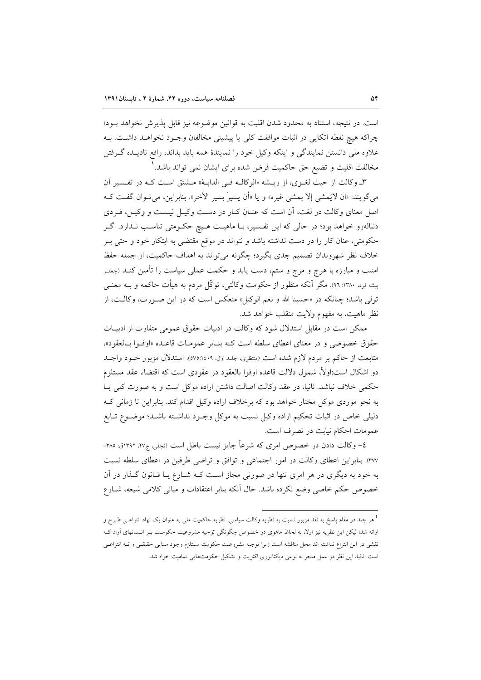است. در نتيجه، استناد به محدود شدن اقليت به قوانين موضوعه نيز قابل پذيرش نخواهد بـود؛ چراكه هيچ نقطه اتكايي در اثبات موافقت كلي يا پيشيني مخالفان وجـود نخواهـد داشـت. بـه علاوه ملی دانستن نمایندگی و اینکه وکیل خود را نمایندهٔ همه باید بداند، رافع نادیـده گـرفتن مخالفت اقلیت و تضیع حق حاکمیت فرض شده برای ایشان نمی تواند باشد. '

٣ـ وكالت از حيث لغـوي، از ريــشه «الوكالــه فــي الدابــهْ» مــشتق اســت كــه در تفــسير آن مي گويند: «ان لايَمشي إلا بمشي غيره» و يا «أن يسيرَ بسير الآخر». بنابراين، مي تـوان گفـت كـه اصل معنای وکالت در لغت، آن است که عنـان کـار در دسـت وکيـل نيـست و وکيـل، فـردی دنبالهرو خواهد بود؛ در حالي كه اين تفـسير، بــا ماهيــت هـيچ حكــومتى تناسـب نــدارد. اگــر حکومتی، عنان کار را در دست نداشته باشد و نتواند در موقع مقتضی به ابتکار خود و حتی بـر خلاف نظر شهروندان تصميم جدي بگيرد؛ چگونه مي تواند به اهداف حاكميت، از جمله حفظ امنیت و مبارزه با هرج و مرج و ستم، دست یابد و حکمت عملی سیاست را تأمین کنــد (جعفـر پیشه فرد. ۱۳۸۰: ۹۲). مگر آنکه منظور از حکومت وکالتی، توکّل مردم به هیأت حاکمه و بــه معنــی تولَّى باشد؛ چنانكه در «حسبنا الله و نعم الوكيل» منعكس است كه در اين صـورت، وكالـت، از نظر ماهيت، به مفهوم ولايت منقلب خواهد شد.

ممکن است در مقابل استدلال شود که وکالت در ادبیات حقوق عمومی متفاوت از ادبیـات حقوق خصوصی و در معنای اعطای سلطه است ک بنابر عمومات قاعده «اوفوا بالعقود»، متابعت از حاکم بر مردم لازم شده است (متظری، جلـداول، ٥٧٥:١٤٠٩). استدلال مزبور خــود واجــد دو اشکال است:اولاً، شمول دلالت قاعده اوفوا بالعقود در عقودی است که اقتضاء عقد مستلزم حکمی خلاف نباشد. ثانیا، در عقد وکالت اصالت داشتن اراده موکل است و به صورت کلی پیا به نحو موردی موکل مختار خواهد بود که برخلاف اراده وکیل اقدام کند. بنابراین تا زمانی ک دلیلی خاص در اثبات تحکیم اراده وکیل نسبت به موکل وجـود نداشـته باشـد؛ موضـوع تـابع عمومات احکام نیابت در تصرف است.

٤– وكالت دادن در خصوص امرى كه شرعاً جايز نيست باطل است (نجفي، ج٢٧، ١٣٩٢ق: ٣٨٥-٣٧٧. بنابراين اعطاى وكالت در امور اجتماعى و توافق و تراضى طرفين در اعطاى سلطه نسبت به خود به دیگری در هر امری تنها در صورتی مجاز است کـه شــارع یــا قــانون گــذار در آن خصوص حکم خاصی وضع نکرده باشد. حال آنکه بنابر اعتقادات و مبانی کلامی شیعه، شــارع

<sup>۔&</sup>lt;br><sup>1</sup> هر چند در مقام پاسخ به نقد مزبور نسبت به نظریه وکالت سیاسی، نظریه حاکمیت مل<sub>ی</sub> به عنوان یک نهاد انترا*عـی* طـرح و ارائه شد؛ لیکن این نظریه نیز اولا، به لحاظ ماهوی در خصوص چگونگی توجیه مشروعیت حکومت بـر انـسانهای آزاد کـه نقشی در این انتراع نداشته اند محل مناقشه است زیرا توجیه مشروعیت حکومت مستلزم وجود مبنایی حقیقـی و نــه انتزاعـی است. ثانیا، این نظر در عمل منجر به نوعی دیکتاتوری اکثریت و تشکیل حکومتهایی تمامیت خواه شد.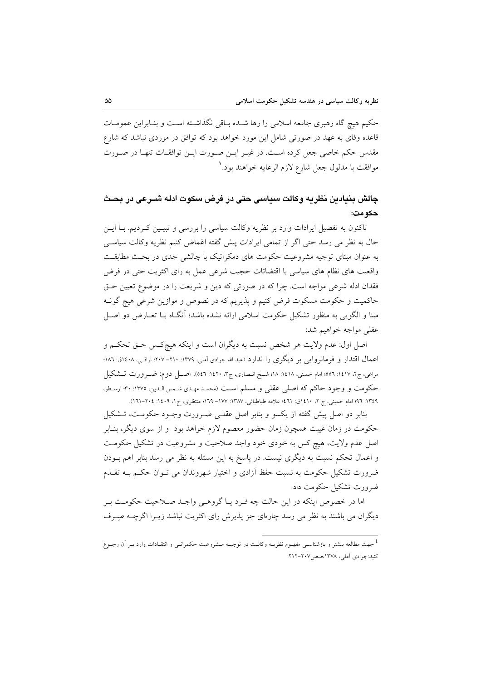حکیم هیچ گاه رهبری جامعه اسلامی را رها شـده بـاقی نگذاشـته اسـت و بنـابراین عمومـات قاعده وفای به عهد در صورتی شامل این مورد خواهد بود که توافق در موردی نباشد که شارع مقدس حکم خاصی جعل کرده است. در غیـر ایـن صـورت ایـن توافقـات تنهـا در صـورت موافقت با مدلول جعل شارع لازم الرعايه خواهند بود. `

## چالش بنيادين نظريه وكالت سياسي حتى در فرض سكوت ادله شــرعى در بحـث حكو مت:

تاکنون به تفصیل ایرادات وارد بر نظریه وکالت سیاسی را بررسی و تبیـین کـردیم. بــا ایــن حال به نظر می رسد حتی اگر از تمامی ایرادات پیش گفته اغماض کنیم نظریه وکالت سیاسی به عنوان مبنای توجیه مشروعیت حکومت های دمکراتیک با چالشی جدی در بحث مطابقت واقعیت های نظام های سیاسی با اقتضائات حجیت شرعی عمل به رای اکثریت حتی در فرض فقدان ادله شرعی مواجه است. چرا که در صورتی که دین و شریعت را در موضوع تعیین حـق حاکمیت و حکومت مسکوت فرض کنیم و پذیریم که در نصوص و موازین شرعی هیچ گونـه مبنا و الگویی به منظور تشکیل حکومت اسلامی ارائه نشده باشد؛ آنگIه بــا تعــارض دو اصــل عقلي مواجه خواهيم شد:

اصل اول: عدم ولايت هر شخص نسبت به ديگران است و اينكه هيچكـس حـق تحكـم و اعمال اقتدار و فرمانروایی بر دیگری را ندارد (عبد الله جوادی آملی، ۱۳۷۹: ۲۱۰–۲۰۷؛ نراقبی، ۱۶۰۸ق: ۱۸۲؛ مراغي، ج٢، ١٤١٧: ٥٥٦؛ امام خميني، ١٤١٨: ١٨؛ شـيخ انـصاري، ج٣، ١٤٢٠: ٥٤٦). اصــل دوم: ضــرورت تــشكيل حكومت و وجود حاكم كه اصلي عقلي و مسلم است (محمد مهدي شمس الدين، ١٣٧٥: ٣٠؛ ارسطو، ١٣٤٩: ٩٦؛ امام خميني، ج ٢، ١٤١٠ق: ٤٦١؛ علامه طباطبائي، ١٣٨٧- ١٧٧– ١٦٩؛ منتظري، ج ١، ١٤٠٩: ٢٠٤–٢١٦١).

بنابر دو اصل پیش گفته از یکسو و بنابر اصل عقلـی ضـرورت وجـود حکومـت، تــشکیل حکومت در زمان غیبت همچون زمان حضور معصوم لازم خواهد بود ًو از سوی دیگر، بنـابر اصل عدم ولایت، هیچ کس به خودی خود واجد صلاحیت و مشروعیت در تشکیل حکومت و اعمال تحکم نسبت به دیگری نیست. در پاسخ به این مسئله به نظر می رسد بنابر اهم بــودن ضرورت تشکیل حکومت به نسبت حفظ آزادی و اختیار شهروندان می تـوان حکـم بــه تقــدم ضرورت تشکیل حکومت داد.

اما در خصوص اینکه در این حالت چه فـرد یـا گروهـی واجـد صـلاحیت حکومـت بـر دیگران می باشند به نظر می رسد چارهای جز پذیرش رای اکثریت نباشد زیـرا اگرچــه صِـرف

<sup>.&</sup>lt;br>1 جهت مطالعه بیشتر و بازشناســی مفهــوم نظریــه وکالــت در توجیــه مــشروعیت حکمرانــی و انتقــادات وارد بــر آن رجــوع كنيد:جوادي أملي، ١٣٧٨،صص١٠٧-٢١٢.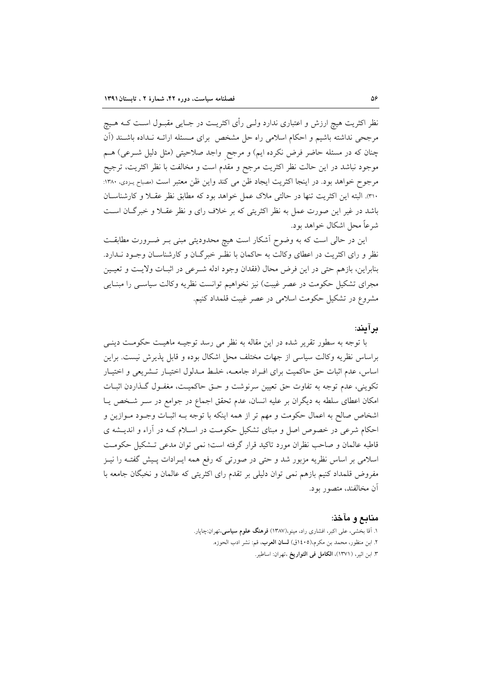نظر اکثریت هیچ ارزش و اعتباری ندارد ولـی رأی اکثریـت در جـایی مقبـول اسـت کــه هــیچ مرجحی نداشته باشیم و احکام اسلامی راه حل مشخص برای مـسئله ارائــه نــداده باشــند (اَن چنان که در مسئله حاضر فرض نکرده ایم) و مرجح ۖ واجد صلاحیتی (مثل دلیل شــرعی) هــم موجود نباشد در این حالت نظر اکثریت مرجح و مقدم است و مخالفت با نظر اکثریت، ترجیح مرجوح خواهد بود. در اينجا اكثريت ايجاد ظن مي كند واين ظن معتبر است (مصباح يـزدي، ١٣٨٠: ٣١٠. البته اين اكثريت تنها در حالتي ملاك عمل خواهد بود كه مطابق نظر عقبلا و كارشناسان باشد در غیر این صورت عمل به نظر اکثریتی که بر خلاف رای و نظر عقـلا و خبرگـان اسـت شرعاً محل اشکال خواهد بود.

این در حالی است که به وضوح آشکار است هیچ محدودیتی مبنی بـر ضـرورت مطابقـت نظر و رای اکثریت در اعطای وکالت به حاکمان با نظـر خبرگـان و کارشناسـان وجـود نــدارد. بنابراين، بازهم حتى در اين فرض محال (فقدان وجود ادله شـرعى در اثبـات ولايـت و تعيـين مجرای تشکیل حکومت در عصر غیبت) نیز نخواهیم توانست نظریه وکالت سیاسـی را مبنـایی مشروع در تشکیل حکومت اسلامی در عصر غیبت قلمداد کنیم.

#### بر آيند:

با توجه به سطور تقریر شده در این مقاله به نظر می رسد توجیــه ماهیـت حکومــت دینــی براساس نظریه وکالت سیاسی از جهات مختلف محل اشکال بوده و قابل پذیرش نیست. براین اساس، عدم اثبات حق حاكميت براى افـراد جامعـه، خلـط مـدلول اختيـار تـشريعى و اختيـار تکوینی، عدم توجه به تفاوت حق تعیین سرنوشت و حـق حاکمیـت، مغفـول گـذاردن اثبـات امکان اعطای سلطه به دیگران بر علیه انسان، عدم تحقق اجماع در جوامع در سـر شـخص یـا اشخاص صالح به اعمال حکومت و مهم تر از همه اینکه با توجه بـه اثبـات وجـود مـوازین و احکام شرعی در خصوص اصل و مبنای تشکیل حکومت در اسـلام کـه در آراء و اندیـشه ی قاطبه عالمان و صاحب نظران مورد تاكيد قرار گرفته است؛ نمي توان مدعى تـشكيل حكومـت اسلامی بر اساس نظریه مزبور شد و حتی در صورتی که رفع همه ایـرادات پـیش گفتـه را نیــز مفروض قلمداد کنیم بازهم نمی توان دلیلی بر تقدم رای اکثریتی که عالمان و نخبگان جامعه با أن مخالفند، متصور بود.

#### منابع و مآخذ:

۱. آقا بخشی، علی اکبر، افشاری راد، مینو،(۱۳۸۷) **فرهنگ علوم سیاسی**،تهران:چاپار. ۲. ابن منظور، محمد بن مكرم،(۱٤٠٥ق) **لسان العرب**، قم: نشر ادب الحوزه. ٣. ابن اثير، (١٣٧١)، الكامل في التواريخ ،تهران: اساطير.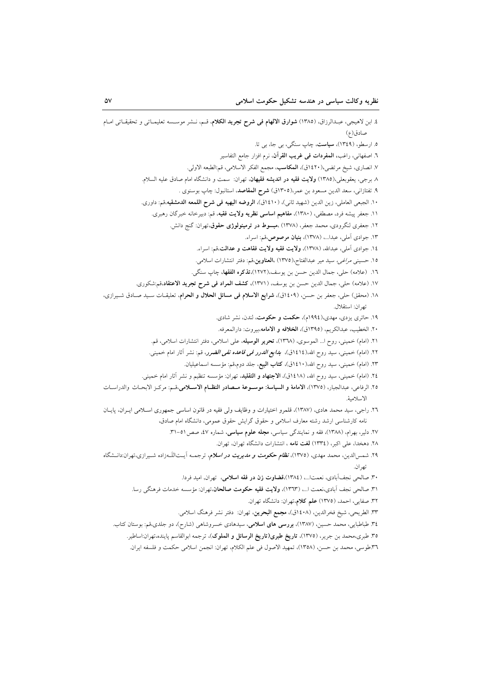٣٦.طوسي، محمد بن حسن، (١٣٥٨)، تمهيد الاصول في علم الكلام، تهران: انجمن اسلامي حكمت و فلسفه ايران.